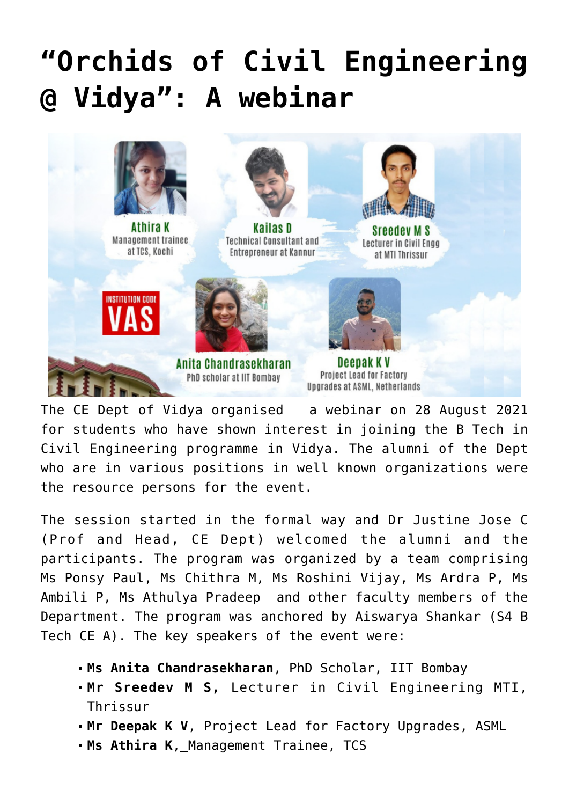## **["Orchids of Civil Engineering](https://news.vidyaacademy.ac.in/2021/09/01/orchids-of-civil-engineering-vidya-a-webinar/) [@ Vidya": A webinar](https://news.vidyaacademy.ac.in/2021/09/01/orchids-of-civil-engineering-vidya-a-webinar/)**



Athira K Management trainee at TCS, Kochi



**Technical Consultant and** Entrepreneur at Kannur



**Sreedev M S** Lecturer in Civil Enga at MTI Thrissur





Deepak K V Project Lead for Factory Upgrades at ASML, Netherlands

The CE Dept of Vidya organised a webinar on 28 August 2021 for students who have shown interest in joining the B Tech in Civil Engineering programme in Vidya. The alumni of the Dept who are in various positions in well known organizations were the resource persons for the event.

The session started in the formal way and Dr Justine Jose C (Prof and Head, CE Dept) welcomed the alumni and the participants. The program was organized by a team comprising Ms Ponsy Paul, Ms Chithra M, Ms Roshini Vijay, Ms Ardra P, Ms Ambili P, Ms Athulya Pradeep and other faculty members of the Department. The program was anchored by Aiswarya Shankar (S4 B Tech CE A). The key speakers of the event were:

- **Ms Anita Chandrasekharan**, PhD Scholar, IIT Bombay
- **Mr Sreedev M S,** Lecturer in Civil Engineering MTI, Thrissur
- **Mr Deepak K V**, Project Lead for Factory Upgrades, ASML
- **Ms Athira K**, Management Trainee, TCS